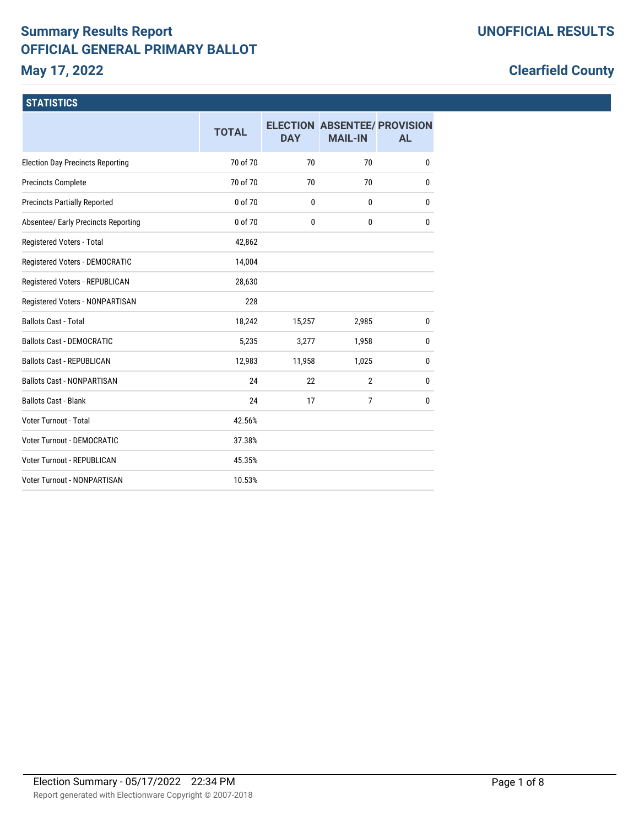# **Summary Results Report OFFICIAL GENERAL PRIMARY BALLOT May 17, 2022**

# **Clearfield County**

## **STATISTICS**

|                                         | <b>TOTAL</b> | <b>DAY</b> | <b>ELECTION ABSENTEE/ PROVISION</b><br><b>MAIL-IN</b> | <b>AL</b>    |
|-----------------------------------------|--------------|------------|-------------------------------------------------------|--------------|
| <b>Election Day Precincts Reporting</b> | 70 of 70     | 70         | 70                                                    | 0            |
| <b>Precincts Complete</b>               | 70 of 70     | 70         | 70                                                    | 0            |
| <b>Precincts Partially Reported</b>     | 0 of 70      | 0          | $\mathbf{0}$                                          | 0            |
| Absentee/ Early Precincts Reporting     | 0 of 70      | 0          | 0                                                     | $\mathbf{0}$ |
| Registered Voters - Total               | 42,862       |            |                                                       |              |
| Registered Voters - DEMOCRATIC          | 14,004       |            |                                                       |              |
| Registered Voters - REPUBLICAN          | 28,630       |            |                                                       |              |
| Registered Voters - NONPARTISAN         | 228          |            |                                                       |              |
| <b>Ballots Cast - Total</b>             | 18,242       | 15,257     | 2,985                                                 | 0            |
| <b>Ballots Cast - DEMOCRATIC</b>        | 5,235        | 3,277      | 1,958                                                 | $\mathbf{0}$ |
| <b>Ballots Cast - REPUBLICAN</b>        | 12,983       | 11,958     | 1,025                                                 | 0            |
| <b>Ballots Cast - NONPARTISAN</b>       | 24           | 22         | $\overline{2}$                                        | 0            |
| <b>Ballots Cast - Blank</b>             | 24           | 17         | 7                                                     | $\mathbf{0}$ |
| Voter Turnout - Total                   | 42.56%       |            |                                                       |              |
| <b>Voter Turnout - DEMOCRATIC</b>       | 37.38%       |            |                                                       |              |
| <b>Voter Turnout - REPUBLICAN</b>       | 45.35%       |            |                                                       |              |
| <b>Voter Turnout - NONPARTISAN</b>      | 10.53%       |            |                                                       |              |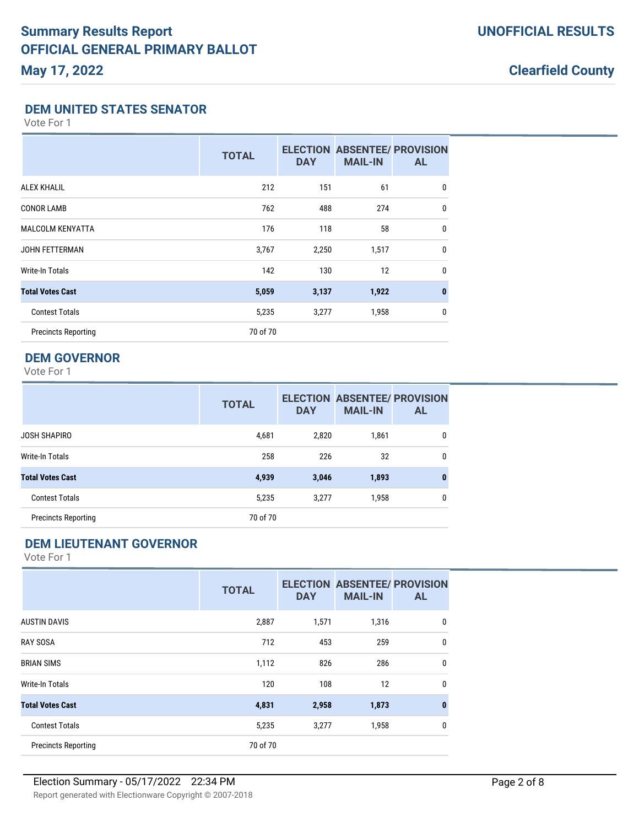### **DEM UNITED STATES SENATOR**

Vote For 1

|                            | <b>TOTAL</b> | <b>DAY</b> | <b>ELECTION ABSENTEE/ PROVISION</b><br><b>MAIL-IN</b> | <b>AL</b>    |
|----------------------------|--------------|------------|-------------------------------------------------------|--------------|
| <b>ALEX KHALIL</b>         | 212          | 151        | 61                                                    | 0            |
| <b>CONOR LAMB</b>          | 762          | 488        | 274                                                   | $\mathbf 0$  |
| <b>MALCOLM KENYATTA</b>    | 176          | 118        | 58                                                    | 0            |
| <b>JOHN FETTERMAN</b>      | 3,767        | 2,250      | 1,517                                                 | $\mathbf{0}$ |
| Write-In Totals            | 142          | 130        | 12                                                    | $\mathbf{0}$ |
| <b>Total Votes Cast</b>    | 5,059        | 3,137      | 1,922                                                 | $\mathbf{0}$ |
| <b>Contest Totals</b>      | 5,235        | 3,277      | 1,958                                                 | $\mathbf{0}$ |
| <b>Precincts Reporting</b> | 70 of 70     |            |                                                       |              |

## **DEM GOVERNOR**

Vote For 1

|                            | <b>TOTAL</b> | <b>DAY</b> | <b>ELECTION ABSENTEE/ PROVISION</b><br><b>MAIL-IN</b> | <b>AL</b>    |
|----------------------------|--------------|------------|-------------------------------------------------------|--------------|
| JOSH SHAPIRO               | 4,681        | 2,820      | 1,861                                                 | $\Omega$     |
| Write-In Totals            | 258          | 226        | 32                                                    | 0            |
| <b>Total Votes Cast</b>    | 4,939        | 3,046      | 1,893                                                 | $\mathbf{0}$ |
| <b>Contest Totals</b>      | 5,235        | 3,277      | 1,958                                                 | 0            |
| <b>Precincts Reporting</b> | 70 of 70     |            |                                                       |              |

## **DEM LIEUTENANT GOVERNOR**

|                            | <b>TOTAL</b> | <b>DAY</b> | <b>ELECTION ABSENTEE/ PROVISION</b><br><b>MAIL-IN</b> | <b>AL</b> |
|----------------------------|--------------|------------|-------------------------------------------------------|-----------|
| <b>AUSTIN DAVIS</b>        | 2,887        | 1,571      | 1,316                                                 | 0         |
| <b>RAY SOSA</b>            | 712          | 453        | 259                                                   | 0         |
| <b>BRIAN SIMS</b>          | 1,112        | 826        | 286                                                   | 0         |
| <b>Write-In Totals</b>     | 120          | 108        | 12                                                    | 0         |
| <b>Total Votes Cast</b>    | 4,831        | 2,958      | 1,873                                                 | $\bf{0}$  |
| <b>Contest Totals</b>      | 5,235        | 3,277      | 1,958                                                 | 0         |
| <b>Precincts Reporting</b> | 70 of 70     |            |                                                       |           |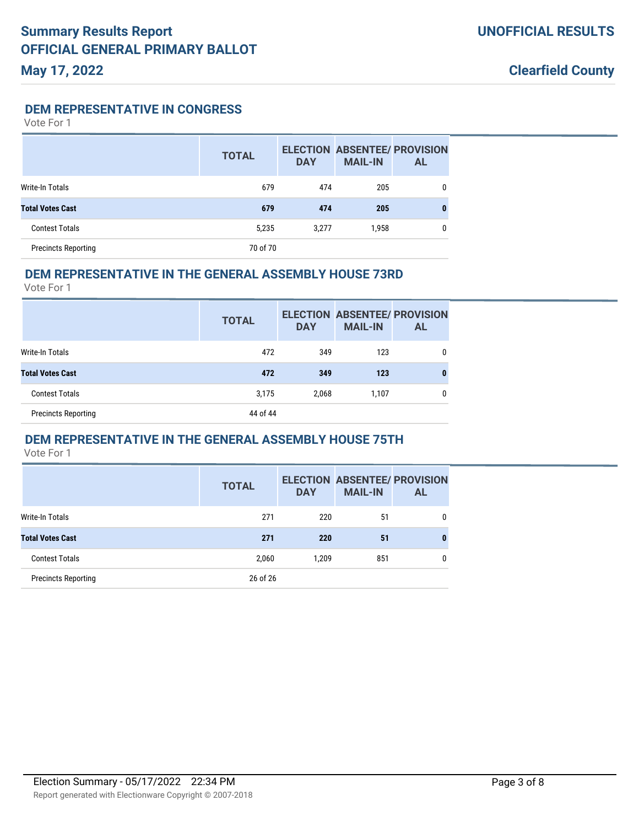**DEM REPRESENTATIVE IN CONGRESS**

Vote For 1

|                            | <b>TOTAL</b> | <b>DAY</b> | <b>ELECTION ABSENTEE/ PROVISION</b><br><b>MAIL-IN</b> | AL. |
|----------------------------|--------------|------------|-------------------------------------------------------|-----|
| Write-In Totals            | 679          | 474        | 205                                                   |     |
| <b>Total Votes Cast</b>    | 679          | 474        | 205                                                   | 0   |
| <b>Contest Totals</b>      | 5,235        | 3,277      | 1,958                                                 | 0   |
| <b>Precincts Reporting</b> | 70 of 70     |            |                                                       |     |

#### **DEM REPRESENTATIVE IN THE GENERAL ASSEMBLY HOUSE 73RD**

Vote For 1

|                            | <b>TOTAL</b> | <b>DAY</b> | <b>ELECTION ABSENTEE/ PROVISION</b><br><b>MAIL-IN</b> | AL |
|----------------------------|--------------|------------|-------------------------------------------------------|----|
| Write-In Totals            | 472          | 349        | 123                                                   | 0  |
| <b>Total Votes Cast</b>    | 472          | 349        | 123                                                   | 0  |
| <b>Contest Totals</b>      | 3,175        | 2,068      | 1,107                                                 |    |
| <b>Precincts Reporting</b> | 44 of 44     |            |                                                       |    |

#### **DEM REPRESENTATIVE IN THE GENERAL ASSEMBLY HOUSE 75TH**

|                            | <b>TOTAL</b> | <b>DAY</b> | <b>MAIL-IN</b> | <b>ELECTION ABSENTEE/ PROVISION</b><br><b>AL</b> |
|----------------------------|--------------|------------|----------------|--------------------------------------------------|
| Write-In Totals            | 271          | 220        | 51             | 0                                                |
| <b>Total Votes Cast</b>    | 271          | 220        | 51             |                                                  |
| <b>Contest Totals</b>      | 2,060        | 1.209      | 851            | 0                                                |
| <b>Precincts Reporting</b> | 26 of 26     |            |                |                                                  |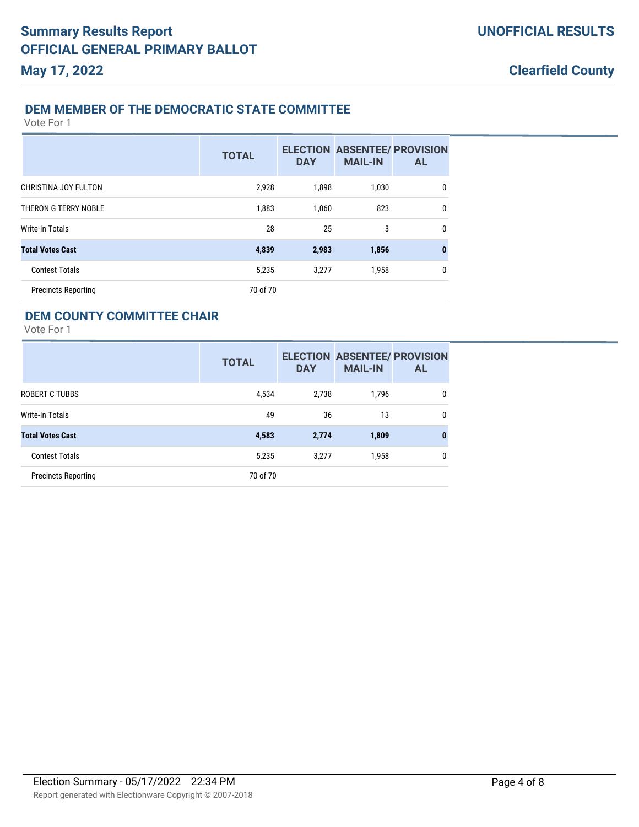**Clearfield County**

### **DEM MEMBER OF THE DEMOCRATIC STATE COMMITTEE**

Vote For 1

|                            | <b>TOTAL</b> | <b>DAY</b> | <b>ELECTION ABSENTEE/ PROVISION</b><br><b>MAIL-IN</b> | <b>AL</b> |
|----------------------------|--------------|------------|-------------------------------------------------------|-----------|
| CHRISTINA JOY FULTON       | 2,928        | 1,898      | 1,030                                                 | 0         |
| THERON G TERRY NOBLE       | 1,883        | 1,060      | 823                                                   | 0         |
| Write-In Totals            | 28           | 25         | 3                                                     | 0         |
| <b>Total Votes Cast</b>    | 4,839        | 2,983      | 1,856                                                 | $\bf{0}$  |
| <b>Contest Totals</b>      | 5,235        | 3,277      | 1,958                                                 | 0         |
| <b>Precincts Reporting</b> | 70 of 70     |            |                                                       |           |

### **DEM COUNTY COMMITTEE CHAIR**

|                            | <b>TOTAL</b> | <b>DAY</b> | <b>ELECTION ABSENTEE/ PROVISION</b><br><b>MAIL-IN</b> | AL |
|----------------------------|--------------|------------|-------------------------------------------------------|----|
| ROBERT C TUBBS             | 4,534        | 2,738      | 1.796                                                 | 0  |
| Write-In Totals            | 49           | 36         | 13                                                    | 0  |
| <b>Total Votes Cast</b>    | 4,583        | 2,774      | 1,809                                                 | 0  |
| <b>Contest Totals</b>      | 5,235        | 3,277      | 1,958                                                 | 0  |
| <b>Precincts Reporting</b> | 70 of 70     |            |                                                       |    |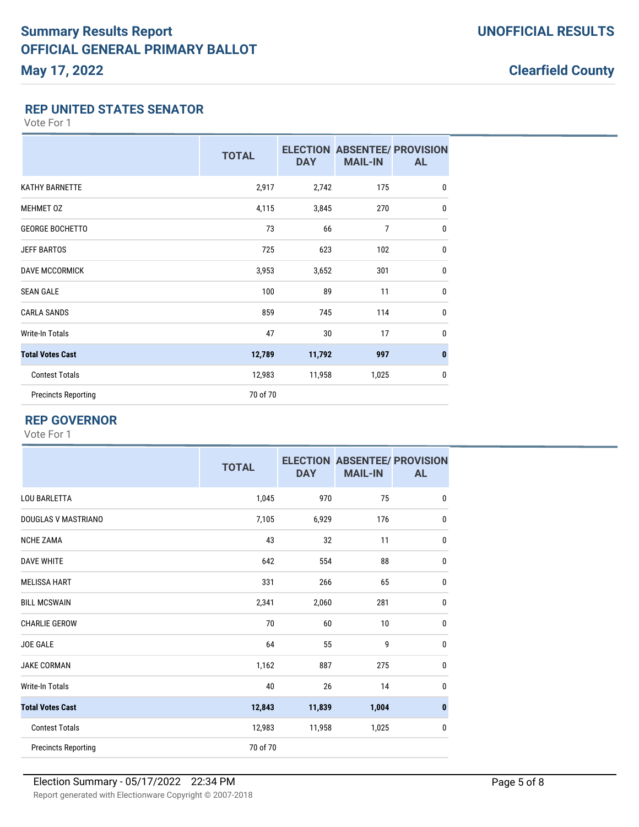### **REP UNITED STATES SENATOR**

Vote For 1

|                            | <b>TOTAL</b> | <b>DAY</b> | <b>MAIL-IN</b> | <b>ELECTION ABSENTEE/ PROVISION</b><br><b>AL</b> |
|----------------------------|--------------|------------|----------------|--------------------------------------------------|
| <b>KATHY BARNETTE</b>      | 2,917        | 2,742      | 175            | $\mathbf 0$                                      |
| <b>MEHMET OZ</b>           | 4,115        | 3,845      | 270            | $\mathbf{0}$                                     |
| <b>GEORGE BOCHETTO</b>     | 73           | 66         | $\overline{7}$ | $\mathbf{0}$                                     |
| <b>JEFF BARTOS</b>         | 725          | 623        | 102            | $\mathbf{0}$                                     |
| <b>DAVE MCCORMICK</b>      | 3,953        | 3,652      | 301            | $\mathbf 0$                                      |
| <b>SEAN GALE</b>           | 100          | 89         | 11             | $\mathbf 0$                                      |
| <b>CARLA SANDS</b>         | 859          | 745        | 114            | $\mathbf{0}$                                     |
| <b>Write-In Totals</b>     | 47           | 30         | 17             | $\mathbf{0}$                                     |
| <b>Total Votes Cast</b>    | 12,789       | 11,792     | 997            | $\bf{0}$                                         |
| <b>Contest Totals</b>      | 12,983       | 11,958     | 1,025          | $\mathbf{0}$                                     |
| <b>Precincts Reporting</b> | 70 of 70     |            |                |                                                  |

## **REP GOVERNOR**

|                            | <b>TOTAL</b> | <b>DAY</b> | <b>ELECTION ABSENTEE/ PROVISION</b><br><b>MAIL-IN</b> | <b>AL</b>    |
|----------------------------|--------------|------------|-------------------------------------------------------|--------------|
| <b>LOU BARLETTA</b>        | 1,045        | 970        | 75                                                    | $\mathbf{0}$ |
| DOUGLAS V MASTRIANO        | 7,105        | 6,929      | 176                                                   | 0            |
| <b>NCHE ZAMA</b>           | 43           | 32         | 11                                                    | $\mathbf{0}$ |
| <b>DAVE WHITE</b>          | 642          | 554        | 88                                                    | 0            |
| <b>MELISSA HART</b>        | 331          | 266        | 65                                                    | 0            |
| <b>BILL MCSWAIN</b>        | 2,341        | 2,060      | 281                                                   | 0            |
| <b>CHARLIE GEROW</b>       | 70           | 60         | 10                                                    | 0            |
| <b>JOE GALE</b>            | 64           | 55         | 9                                                     | 0            |
| <b>JAKE CORMAN</b>         | 1,162        | 887        | 275                                                   | 0            |
| Write-In Totals            | 40           | 26         | 14                                                    | 0            |
| <b>Total Votes Cast</b>    | 12,843       | 11,839     | 1,004                                                 | $\mathbf{0}$ |
| <b>Contest Totals</b>      | 12,983       | 11,958     | 1,025                                                 | 0            |
| <b>Precincts Reporting</b> | 70 of 70     |            |                                                       |              |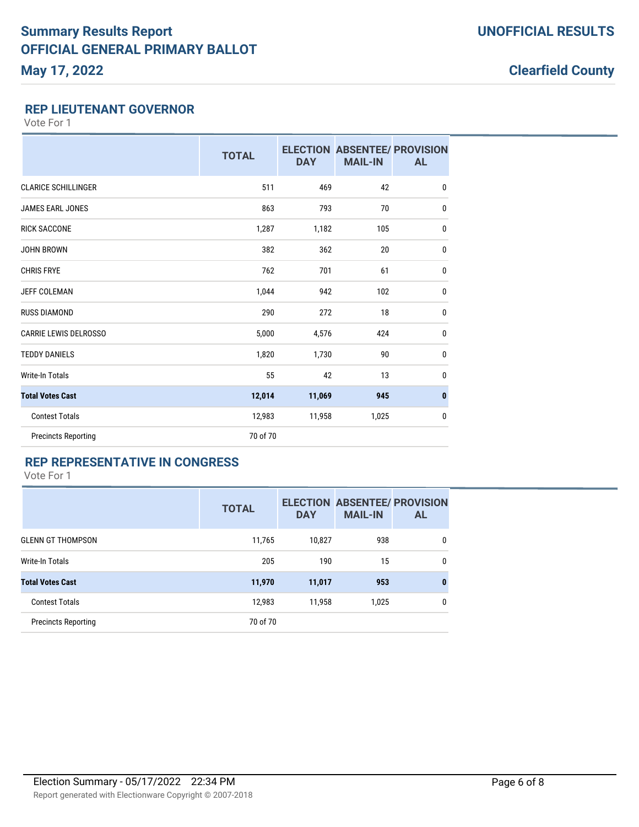### **REP LIEUTENANT GOVERNOR**

Vote For 1

|                              | <b>TOTAL</b> | <b>DAY</b> | <b>ELECTION ABSENTEE/ PROVISION</b><br><b>MAIL-IN</b> | <b>AL</b>    |
|------------------------------|--------------|------------|-------------------------------------------------------|--------------|
| <b>CLARICE SCHILLINGER</b>   | 511          | 469        | 42                                                    | $\mathbf 0$  |
| <b>JAMES EARL JONES</b>      | 863          | 793        | 70                                                    | 0            |
| <b>RICK SACCONE</b>          | 1,287        | 1,182      | 105                                                   | 0            |
| <b>JOHN BROWN</b>            | 382          | 362        | 20                                                    | 0            |
| <b>CHRIS FRYE</b>            | 762          | 701        | 61                                                    | $\mathbf{0}$ |
| <b>JEFF COLEMAN</b>          | 1,044        | 942        | 102                                                   | $\mathbf{0}$ |
| <b>RUSS DIAMOND</b>          | 290          | 272        | 18                                                    | 0            |
| <b>CARRIE LEWIS DELROSSO</b> | 5,000        | 4,576      | 424                                                   | 0            |
| <b>TEDDY DANIELS</b>         | 1,820        | 1,730      | 90                                                    | 0            |
| <b>Write-In Totals</b>       | 55           | 42         | 13                                                    | 0            |
| <b>Total Votes Cast</b>      | 12,014       | 11,069     | 945                                                   | $\bf{0}$     |
| <b>Contest Totals</b>        | 12,983       | 11,958     | 1,025                                                 | 0            |
| <b>Precincts Reporting</b>   | 70 of 70     |            |                                                       |              |

## **REP REPRESENTATIVE IN CONGRESS**

|                            | <b>TOTAL</b> | <b>DAY</b> | <b>ELECTION ABSENTEE/ PROVISION</b><br><b>MAIL-IN</b> | <b>AL</b> |
|----------------------------|--------------|------------|-------------------------------------------------------|-----------|
| <b>GLENN GT THOMPSON</b>   | 11,765       | 10,827     | 938                                                   | 0         |
| Write-In Totals            | 205          | 190        | 15                                                    | 0         |
| <b>Total Votes Cast</b>    | 11,970       | 11,017     | 953                                                   | $\bf{0}$  |
| <b>Contest Totals</b>      | 12,983       | 11,958     | 1,025                                                 | 0         |
| <b>Precincts Reporting</b> | 70 of 70     |            |                                                       |           |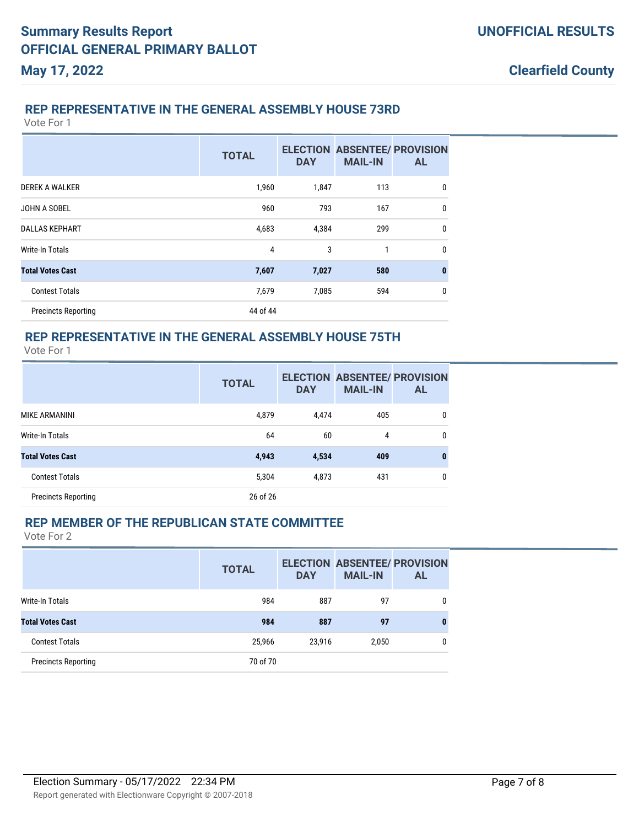**Clearfield County**

### **REP REPRESENTATIVE IN THE GENERAL ASSEMBLY HOUSE 73RD**

Vote For 1

|                            | <b>TOTAL</b> | <b>DAY</b> | <b>ELECTION ABSENTEE/ PROVISION</b><br><b>MAIL-IN</b> | <b>AL</b>    |
|----------------------------|--------------|------------|-------------------------------------------------------|--------------|
| DEREK A WALKER             | 1,960        | 1,847      | 113                                                   | 0            |
| JOHN A SOBEL               | 960          | 793        | 167                                                   | $\mathbf{0}$ |
| <b>DALLAS KEPHART</b>      | 4,683        | 4,384      | 299                                                   | $\mathbf{0}$ |
| <b>Write-In Totals</b>     | 4            | 3          | 1                                                     | $\mathbf{0}$ |
| <b>Total Votes Cast</b>    | 7,607        | 7,027      | 580                                                   | $\bf{0}$     |
| <b>Contest Totals</b>      | 7,679        | 7,085      | 594                                                   | 0            |
| <b>Precincts Reporting</b> | 44 of 44     |            |                                                       |              |

## **REP REPRESENTATIVE IN THE GENERAL ASSEMBLY HOUSE 75TH**

Vote For 1

|                            | <b>TOTAL</b> | <b>DAY</b> | <b>ELECTION ABSENTEE/ PROVISION</b><br><b>MAIL-IN</b> | <b>AL</b> |
|----------------------------|--------------|------------|-------------------------------------------------------|-----------|
| <b>MIKE ARMANINI</b>       | 4,879        | 4,474      | 405                                                   | 0         |
| <b>Write-In Totals</b>     | 64           | 60         | 4                                                     | $\Omega$  |
| <b>Total Votes Cast</b>    | 4,943        | 4,534      | 409                                                   | 0         |
| <b>Contest Totals</b>      | 5,304        | 4,873      | 431                                                   | 0         |
| <b>Precincts Reporting</b> | 26 of 26     |            |                                                       |           |

### **REP MEMBER OF THE REPUBLICAN STATE COMMITTEE**

|                            | <b>TOTAL</b> | <b>DAY</b> | <b>ELECTION ABSENTEE/ PROVISION</b><br><b>MAIL-IN</b> | <b>AL</b> |
|----------------------------|--------------|------------|-------------------------------------------------------|-----------|
| Write-In Totals            | 984          | 887        | 97                                                    | 0         |
| <b>Total Votes Cast</b>    | 984          | 887        | 97                                                    | 0         |
| <b>Contest Totals</b>      | 25,966       | 23,916     | 2,050                                                 | 0         |
| <b>Precincts Reporting</b> | 70 of 70     |            |                                                       |           |